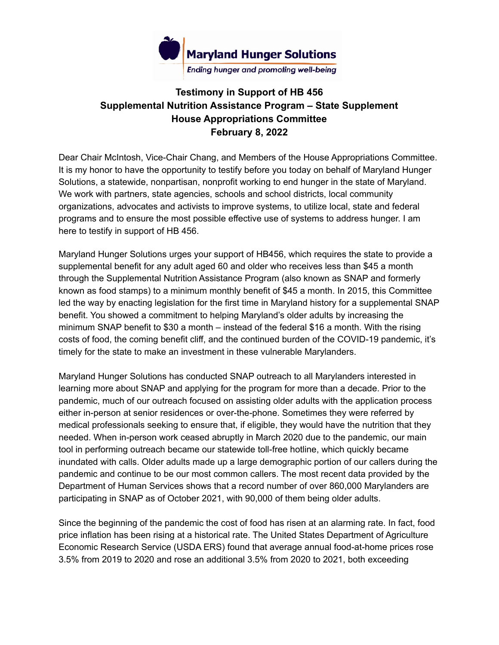

## **Testimony in Support of HB 456 Supplemental Nutrition Assistance Program – State Supplement House Appropriations Committee February 8, 2022**

Dear Chair McIntosh, Vice-Chair Chang, and Members of the House Appropriations Committee. It is my honor to have the opportunity to testify before you today on behalf of Maryland Hunger Solutions, a statewide, nonpartisan, nonprofit working to end hunger in the state of Maryland. We work with partners, state agencies, schools and school districts, local community organizations, advocates and activists to improve systems, to utilize local, state and federal programs and to ensure the most possible effective use of systems to address hunger. I am here to testify in support of HB 456.

Maryland Hunger Solutions urges your support of HB456, which requires the state to provide a supplemental benefit for any adult aged 60 and older who receives less than \$45 a month through the Supplemental Nutrition Assistance Program (also known as SNAP and formerly known as food stamps) to a minimum monthly benefit of \$45 a month. In 2015, this Committee led the way by enacting legislation for the first time in Maryland history for a supplemental SNAP benefit. You showed a commitment to helping Maryland's older adults by increasing the minimum SNAP benefit to \$30 a month – instead of the federal \$16 a month. With the rising costs of food, the coming benefit cliff, and the continued burden of the COVID-19 pandemic, it's timely for the state to make an investment in these vulnerable Marylanders.

Maryland Hunger Solutions has conducted SNAP outreach to all Marylanders interested in learning more about SNAP and applying for the program for more than a decade. Prior to the pandemic, much of our outreach focused on assisting older adults with the application process either in-person at senior residences or over-the-phone. Sometimes they were referred by medical professionals seeking to ensure that, if eligible, they would have the nutrition that they needed. When in-person work ceased abruptly in March 2020 due to the pandemic, our main tool in performing outreach became our statewide toll-free hotline, which quickly became inundated with calls. Older adults made up a large demographic portion of our callers during the pandemic and continue to be our most common callers. The most recent data provided by the Department of Human Services shows that a record number of over 860,000 Marylanders are participating in SNAP as of October 2021, with 90,000 of them being older adults.

Since the beginning of the pandemic the cost of food has risen at an alarming rate. In fact, food price inflation has been rising at a historical rate. The United States Department of Agriculture Economic Research Service (USDA ERS) found that average annual food-at-home prices rose 3.5% from 2019 to 2020 and rose an additional 3.5% from 2020 to 2021, both exceeding